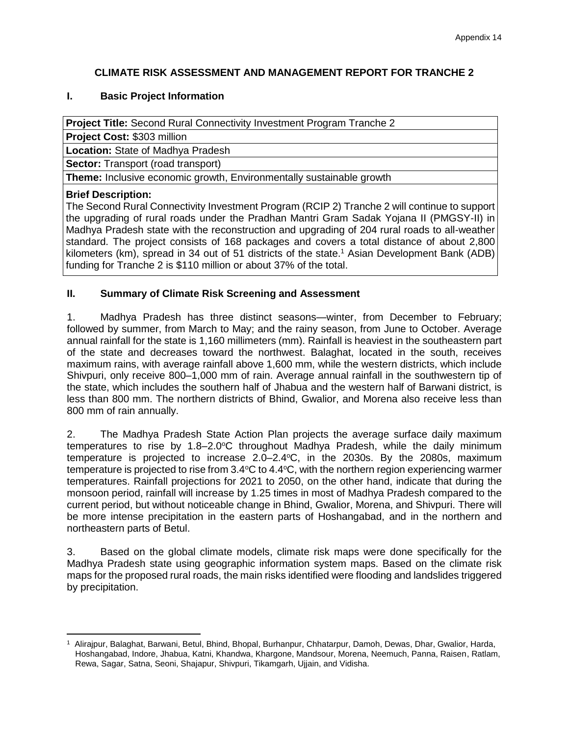# **CLIMATE RISK ASSESSMENT AND MANAGEMENT REPORT FOR TRANCHE 2**

## **I. Basic Project Information**

**Project Title:** Second Rural Connectivity Investment Program Tranche 2

**Project Cost:** \$303 million

**Location:** State of Madhya Pradesh

**Sector:** Transport (road transport)

**Theme:** Inclusive economic growth, Environmentally sustainable growth

## **Brief Description:**

The Second Rural Connectivity Investment Program (RCIP 2) Tranche 2 will continue to support the upgrading of rural roads under the Pradhan Mantri Gram Sadak Yojana II (PMGSY-II) in Madhya Pradesh state with the reconstruction and upgrading of 204 rural roads to all-weather standard. The project consists of 168 packages and covers a total distance of about 2,800 kilometers (km), spread in 34 out of 51 districts of the state.<sup>1</sup> Asian Development Bank (ADB) funding for Tranche 2 is \$110 million or about 37% of the total.

# **II. Summary of Climate Risk Screening and Assessment**

1. Madhya Pradesh has three distinct seasons—winter, from December to February; followed by summer, from March to May; and the rainy season, from June to October. Average annual rainfall for the state is 1,160 millimeters (mm). Rainfall is heaviest in the southeastern part of the state and decreases toward the northwest. Balaghat, located in the south, receives maximum rains, with average rainfall above 1,600 mm, while the western districts, which include Shivpuri, only receive 800–1,000 mm of rain. Average annual rainfall in the southwestern tip of the state, which includes the southern half of Jhabua and the western half of Barwani district, is less than 800 mm. The northern districts of Bhind, Gwalior, and Morena also receive less than 800 mm of rain annually.

2. The Madhya Pradesh State Action Plan projects the average surface daily maximum temperatures to rise by  $1.8-2.0^{\circ}$ C throughout Madhya Pradesh, while the daily minimum temperature is projected to increase  $2.0-2.4$ °C, in the  $2030s$ . By the  $2080s$ , maximum temperature is projected to rise from  $3.4^{\circ}$ C to  $4.4^{\circ}$ C, with the northern region experiencing warmer temperatures. Rainfall projections for 2021 to 2050, on the other hand, indicate that during the monsoon period, rainfall will increase by 1.25 times in most of Madhya Pradesh compared to the current period, but without noticeable change in Bhind, Gwalior, Morena, and Shivpuri. There will be more intense precipitation in the eastern parts of Hoshangabad, and in the northern and northeastern parts of Betul.

3. Based on the global climate models, climate risk maps were done specifically for the Madhya Pradesh state using geographic information system maps. Based on the climate risk maps for the proposed rural roads, the main risks identified were flooding and landslides triggered by precipitation.

 $\overline{a}$ <sup>1</sup> Alirajpur, Balaghat, Barwani, Betul, Bhind, Bhopal, Burhanpur, Chhatarpur, Damoh, Dewas, Dhar, Gwalior, Harda, Hoshangabad, Indore, Jhabua, Katni, Khandwa, Khargone, Mandsour, Morena, Neemuch, Panna, Raisen, Ratlam, Rewa, Sagar, Satna, Seoni, Shajapur, Shivpuri, Tikamgarh, Ujjain, and Vidisha.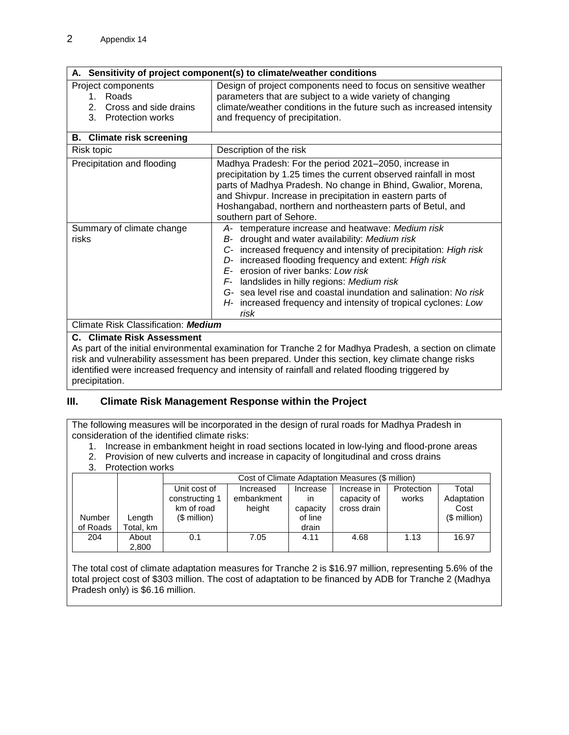|  |  | A. Sensitivity of project component(s) to climate/weather conditions |  |
|--|--|----------------------------------------------------------------------|--|
|  |  |                                                                      |  |

| Project components       | Design of project components need to focus on sensitive weather      |
|--------------------------|----------------------------------------------------------------------|
| . Roads.                 | parameters that are subject to a wide variety of changing            |
| 2. Cross and side drains | climate/weather conditions in the future such as increased intensity |
| 3. Protection works      | and frequency of precipitation.                                      |
|                          |                                                                      |

| <b>B.</b> Climate risk screening    |                                                                                                                                                                                                                                                                                                                                                                                                                                                                            |
|-------------------------------------|----------------------------------------------------------------------------------------------------------------------------------------------------------------------------------------------------------------------------------------------------------------------------------------------------------------------------------------------------------------------------------------------------------------------------------------------------------------------------|
| Risk topic                          | Description of the risk                                                                                                                                                                                                                                                                                                                                                                                                                                                    |
| Precipitation and flooding          | Madhya Pradesh: For the period 2021-2050, increase in<br>precipitation by 1.25 times the current observed rainfall in most<br>parts of Madhya Pradesh. No change in Bhind, Gwalior, Morena,<br>and Shivpur. Increase in precipitation in eastern parts of<br>Hoshangabad, northern and northeastern parts of Betul, and<br>southern part of Sehore.                                                                                                                        |
| Summary of climate change<br>risks  | A- temperature increase and heatwave: Medium risk<br>drought and water availability: Medium risk<br>B-<br>C- increased frequency and intensity of precipitation: High risk<br>increased flooding frequency and extent: High risk<br>D-<br>erosion of river banks: Low risk<br>landslides in hilly regions: Medium risk<br>F-<br>G- sea level rise and coastal inundation and salination: No risk<br>H- increased frequency and intensity of tropical cyclones: Low<br>risk |
| Climate Risk Classification: Medium |                                                                                                                                                                                                                                                                                                                                                                                                                                                                            |

#### **C. Climate Risk Assessment**

As part of the initial environmental examination for Tranche 2 for Madhya Pradesh, a section on climate risk and vulnerability assessment has been prepared. Under this section, key climate change risks identified were increased frequency and intensity of rainfall and related flooding triggered by precipitation.

## **III. Climate Risk Management Response within the Project**

The following measures will be incorporated in the design of rural roads for Madhya Pradesh in consideration of the identified climate risks:

1. Increase in embankment height in road sections located in low-lying and flood-prone areas

2. Provision of new culverts and increase in capacity of longitudinal and cross drains 3. Protection works

| u.                 | <b>IULUULIUII WUING</b> |                                              |                                   |                            |                                                  |                     |                             |
|--------------------|-------------------------|----------------------------------------------|-----------------------------------|----------------------------|--------------------------------------------------|---------------------|-----------------------------|
|                    |                         |                                              |                                   |                            | Cost of Climate Adaptation Measures (\$ million) |                     |                             |
|                    |                         | Unit cost of<br>constructing 1<br>km of road | Increased<br>embankment<br>height | Increase<br>ın<br>capacity | Increase in<br>capacity of<br>cross drain        | Protection<br>works | Total<br>Adaptation<br>Cost |
| Number<br>of Roads | Length<br>Total, km     | $$$ million)                                 |                                   | of line<br>drain           |                                                  |                     | $$$ million)                |
| 204                | About<br>2,800          | 0.1                                          | 7.05                              | 4.11                       | 4.68                                             | 1.13                | 16.97                       |

The total cost of climate adaptation measures for Tranche 2 is \$16.97 million, representing 5.6% of the total project cost of \$303 million. The cost of adaptation to be financed by ADB for Tranche 2 (Madhya Pradesh only) is \$6.16 million.